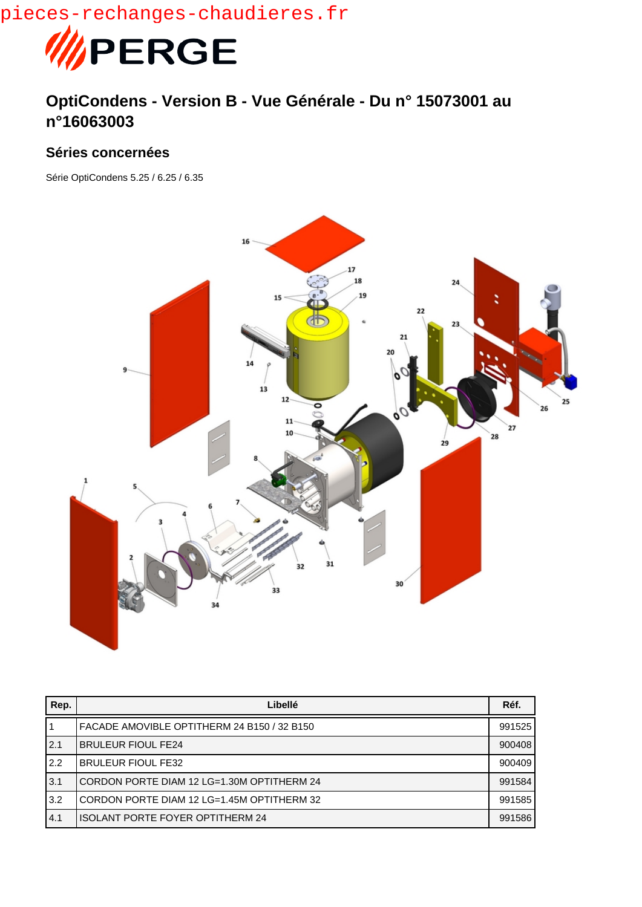pieces-rechanges-chaudieres.fr



## **OptiCondens - Version B - Vue Générale - Du n° 15073001 au n°16063003**

## **Séries concernées**

Série OptiCondens 5.25 / 6.25 / 6.35



| Rep. | Libellé                                     | Réf.   |
|------|---------------------------------------------|--------|
|      | FACADE AMOVIBLE OPTITHERM 24 B150 / 32 B150 | 991525 |
| 2.1  | <b>BRULEUR FIOUL FE24</b>                   | 900408 |
| 2.2  | <b>BRULEUR FIOUL FE32</b>                   | 900409 |
| 3.1  | CORDON PORTE DIAM 12 LG=1.30M OPTITHERM 24  | 991584 |
| 3.2  | CORDON PORTE DIAM 12 LG=1.45M OPTITHERM 32  | 991585 |
| 4.1  | <b>ISOLANT PORTE FOYER OPTITHERM 24</b>     | 991586 |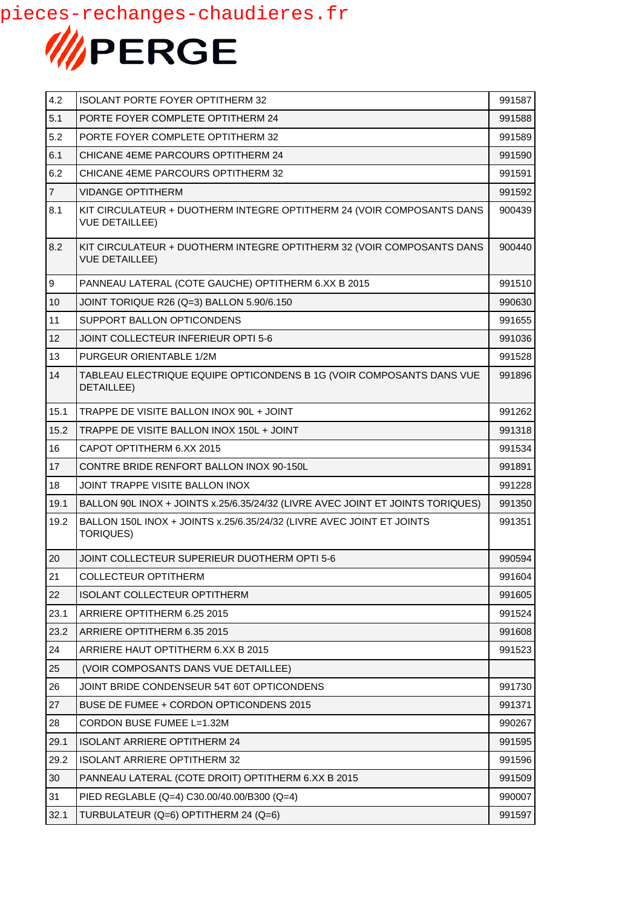

| 4.2            | <b>ISOLANT PORTE FOYER OPTITHERM 32</b>                                                        | 991587 |
|----------------|------------------------------------------------------------------------------------------------|--------|
| 5.1            | PORTE FOYER COMPLETE OPTITHERM 24                                                              | 991588 |
| 5.2            | PORTE FOYER COMPLETE OPTITHERM 32                                                              | 991589 |
| 6.1            | CHICANE 4EME PARCOURS OPTITHERM 24                                                             | 991590 |
| 6.2            | CHICANE 4EME PARCOURS OPTITHERM 32                                                             | 991591 |
| $\overline{7}$ | <b>VIDANGE OPTITHERM</b>                                                                       | 991592 |
| 8.1            | KIT CIRCULATEUR + DUOTHERM INTEGRE OPTITHERM 24 (VOIR COMPOSANTS DANS<br><b>VUE DETAILLEE)</b> | 900439 |
| 8.2            | KIT CIRCULATEUR + DUOTHERM INTEGRE OPTITHERM 32 (VOIR COMPOSANTS DANS<br><b>VUE DETAILLEE)</b> | 900440 |
| 9              | PANNEAU LATERAL (COTE GAUCHE) OPTITHERM 6.XX B 2015                                            | 991510 |
| 10             | JOINT TORIQUE R26 (Q=3) BALLON 5.90/6.150                                                      | 990630 |
| 11             | SUPPORT BALLON OPTICONDENS                                                                     | 991655 |
| 12             | <b>JOINT COLLECTEUR INFERIEUR OPTI 5-6</b>                                                     | 991036 |
| 13             | PURGEUR ORIENTABLE 1/2M                                                                        | 991528 |
| 14             | TABLEAU ELECTRIQUE EQUIPE OPTICONDENS B 1G (VOIR COMPOSANTS DANS VUE<br>DETAILLEE)             | 991896 |
| 15.1           | TRAPPE DE VISITE BALLON INOX 90L + JOINT                                                       | 991262 |
| 15.2           | TRAPPE DE VISITE BALLON INOX 150L + JOINT                                                      | 991318 |
| 16             | CAPOT OPTITHERM 6.XX 2015                                                                      | 991534 |
| 17             | CONTRE BRIDE RENFORT BALLON INOX 90-150L                                                       | 991891 |
| 18             | JOINT TRAPPE VISITE BALLON INOX                                                                | 991228 |
| 19.1           | BALLON 90L INOX + JOINTS x.25/6.35/24/32 (LIVRE AVEC JOINT ET JOINTS TORIQUES)                 | 991350 |
| 19.2           | BALLON 150L INOX + JOINTS x.25/6.35/24/32 (LIVRE AVEC JOINT ET JOINTS<br><b>TORIQUES)</b>      | 991351 |
| 20             | JOINT COLLECTEUR SUPERIEUR DUOTHERM OPTI 5-6                                                   | 990594 |
| 21             | <b>COLLECTEUR OPTITHERM</b>                                                                    | 991604 |
| 22             | <b>ISOLANT COLLECTEUR OPTITHERM</b>                                                            | 991605 |
| 23.1           | ARRIERE OPTITHERM 6.25 2015                                                                    | 991524 |
| 23.2           | ARRIERE OPTITHERM 6.35 2015                                                                    | 991608 |
| 24             | ARRIERE HAUT OPTITHERM 6.XX B 2015                                                             | 991523 |
| 25             | (VOIR COMPOSANTS DANS VUE DETAILLEE)                                                           |        |
| 26             | JOINT BRIDE CONDENSEUR 54T 60T OPTICONDENS                                                     | 991730 |
| 27             | BUSE DE FUMEE + CORDON OPTICONDENS 2015                                                        | 991371 |
| 28             | CORDON BUSE FUMEE L=1.32M                                                                      | 990267 |
| 29.1           | <b>ISOLANT ARRIERE OPTITHERM 24</b>                                                            | 991595 |
| 29.2           | <b>ISOLANT ARRIERE OPTITHERM 32</b>                                                            | 991596 |
| 30             | PANNEAU LATERAL (COTE DROIT) OPTITHERM 6.XX B 2015                                             | 991509 |
| 31             | PIED REGLABLE (Q=4) C30.00/40.00/B300 (Q=4)                                                    | 990007 |
| 32.1           | TURBULATEUR (Q=6) OPTITHERM 24 (Q=6)                                                           | 991597 |